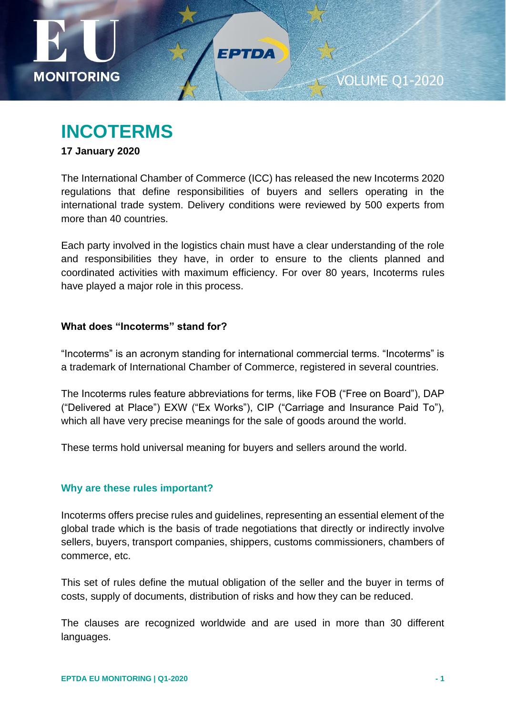

# **INCOTERMS**

### **17 January 2020**

The International Chamber of Commerce (ICC) has released the new Incoterms 2020 regulations that define responsibilities of buyers and sellers operating in the international trade system. Delivery conditions were reviewed by 500 experts from more than 40 countries.

EPTDA

Each party involved in the logistics chain must have a clear understanding of the role and responsibilities they have, in order to ensure to the clients planned and coordinated activities with maximum efficiency. For over 80 years, Incoterms rules have played a major role in this process.

### **What does "Incoterms" stand for?**

"Incoterms" is an acronym standing for international commercial terms. "Incoterms" is a trademark of International Chamber of Commerce, registered in several countries.

The Incoterms rules feature abbreviations for terms, like FOB ("Free on Board"), DAP ("Delivered at Place") EXW ("Ex Works"), CIP ("Carriage and Insurance Paid To"), which all have very precise meanings for the sale of goods around the world.

These terms hold universal meaning for buyers and sellers around the world.

### **Why are these rules important?**

Incoterms offers precise rules and guidelines, representing an essential element of the global trade which is the basis of trade negotiations that directly or indirectly involve sellers, buyers, transport companies, shippers, customs commissioners, chambers of commerce, etc.

This set of rules define the mutual obligation of the seller and the buyer in terms of costs, supply of documents, distribution of risks and how they can be reduced.

The clauses are recognized worldwide and are used in more than 30 different languages.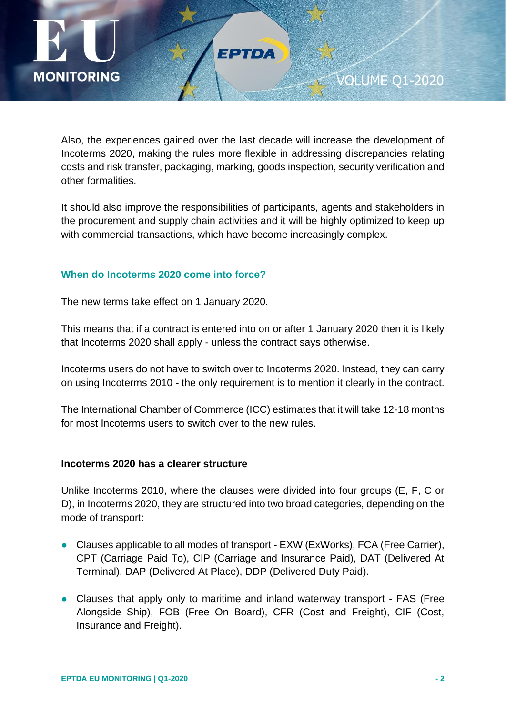

Also, the experiences gained over the last decade will increase the development of Incoterms 2020, making the rules more flexible in addressing discrepancies relating costs and risk transfer, packaging, marking, goods inspection, security verification and other formalities.

FPTDA

It should also improve the responsibilities of participants, agents and stakeholders in the procurement and supply chain activities and it will be highly optimized to keep up with commercial transactions, which have become increasingly complex.

### **When do Incoterms 2020 come into force?**

The new terms take effect on 1 January 2020.

This means that if a contract is entered into on or after 1 January 2020 then it is likely that Incoterms 2020 shall apply - unless the contract says otherwise.

Incoterms users do not have to switch over to Incoterms 2020. Instead, they can carry on using Incoterms 2010 - the only requirement is to mention it clearly in the contract.

The International Chamber of Commerce (ICC) estimates that it will take 12-18 months for most Incoterms users to switch over to the new rules.

### **Incoterms 2020 has a clearer structure**

Unlike Incoterms 2010, where the clauses were divided into four groups (E, F, C or D), in Incoterms 2020, they are structured into two broad categories, depending on the mode of transport:

- Clauses applicable to all modes of transport EXW (ExWorks), FCA (Free Carrier), CPT (Carriage Paid To), CIP (Carriage and Insurance Paid), DAT (Delivered At Terminal), DAP (Delivered At Place), DDP (Delivered Duty Paid).
- Clauses that apply only to maritime and inland waterway transport FAS (Free Alongside Ship), FOB (Free On Board), CFR (Cost and Freight), CIF (Cost, Insurance and Freight).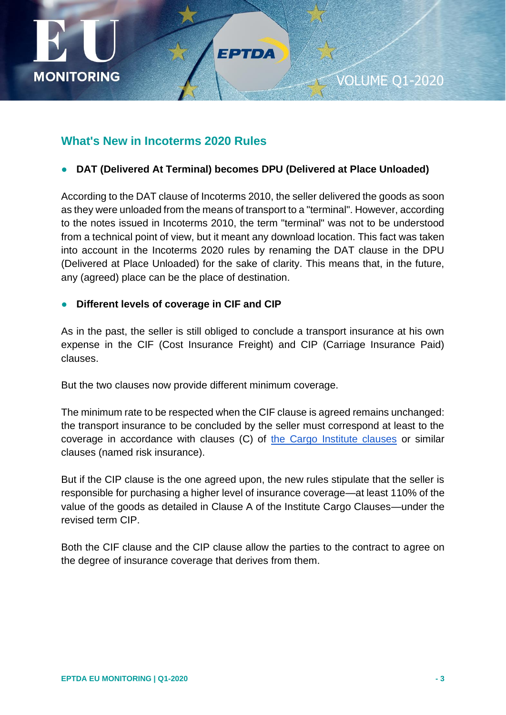

### **What's New in Incoterms 2020 Rules**

● **DAT (Delivered At Terminal) becomes DPU (Delivered at Place Unloaded)**

FPTDA

According to the DAT clause of Incoterms 2010, the seller delivered the goods as soon as they were unloaded from the means of transport to a "terminal". However, according to the notes issued in Incoterms 2010, the term "terminal" was not to be understood from a technical point of view, but it meant any download location. This fact was taken into account in the Incoterms 2020 rules by renaming the DAT clause in the DPU (Delivered at Place Unloaded) for the sake of clarity. This means that, in the future, any (agreed) place can be the place of destination.

### **Different levels of coverage in CIF and CIP**

As in the past, the seller is still obliged to conclude a transport insurance at his own expense in the CIF (Cost Insurance Freight) and CIP (Carriage Insurance Paid) clauses.

But the two clauses now provide different minimum coverage.

The minimum rate to be respected when the CIF clause is agreed remains unchanged: the transport insurance to be concluded by the seller must correspond at least to the coverage in accordance with clauses (C) of [the Cargo Institute clauses](https://www.advancedontrade.com/2015/02/what-are-differences-between-institute-cargo-clauses-a-and-institute-cargo-clauses-c.html) or similar clauses (named risk insurance).

But if the CIP clause is the one agreed upon, the new rules stipulate that the seller is responsible for purchasing a higher level of insurance coverage—at least 110% of the value of the goods as detailed in Clause A of the Institute Cargo Clauses—under the revised term CIP.

Both the CIF clause and the CIP clause allow the parties to the contract to agree on the degree of insurance coverage that derives from them.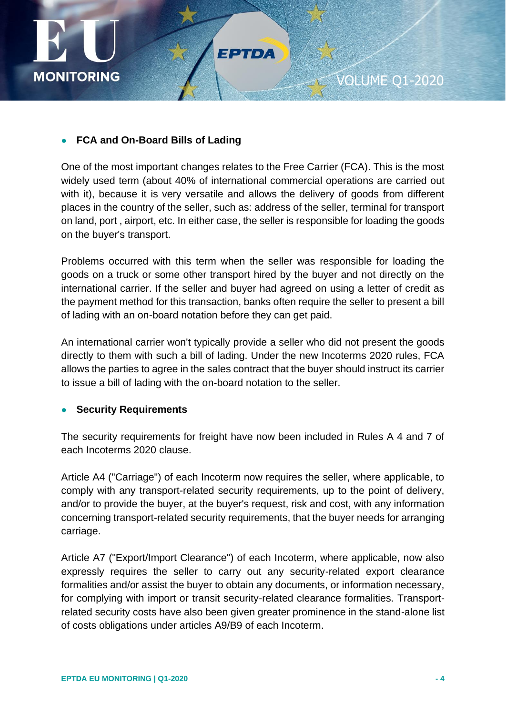

### ● **FCA and On-Board Bills of Lading**

One of the most important changes relates to the Free Carrier (FCA). This is the most widely used term (about 40% of international commercial operations are carried out with it), because it is very versatile and allows the delivery of goods from different places in the country of the seller, such as: address of the seller, terminal for transport on land, port , airport, etc. In either case, the seller is responsible for loading the goods on the buyer's transport.

FPTDA

Problems occurred with this term when the seller was responsible for loading the goods on a truck or some other transport hired by the buyer and not directly on the international carrier. If the seller and buyer had agreed on using a letter of credit as the payment method for this transaction, banks often require the seller to present a bill of lading with an on-board notation before they can get paid.

An international carrier won't typically provide a seller who did not present the goods directly to them with such a bill of lading. Under the new Incoterms 2020 rules, FCA allows the parties to agree in the sales contract that the buyer should instruct its carrier to issue a bill of lading with the on-board notation to the seller.

### **Security Requirements**

The security requirements for freight have now been included in Rules A 4 and 7 of each Incoterms 2020 clause.

Article A4 ("Carriage") of each Incoterm now requires the seller, where applicable, to comply with any transport-related security requirements, up to the point of delivery, and/or to provide the buyer, at the buyer's request, risk and cost, with any information concerning transport-related security requirements, that the buyer needs for arranging carriage.

Article A7 ("Export/Import Clearance") of each Incoterm, where applicable, now also expressly requires the seller to carry out any security-related export clearance formalities and/or assist the buyer to obtain any documents, or information necessary, for complying with import or transit security-related clearance formalities. Transportrelated security costs have also been given greater prominence in the stand-alone list of costs obligations under articles A9/B9 of each Incoterm.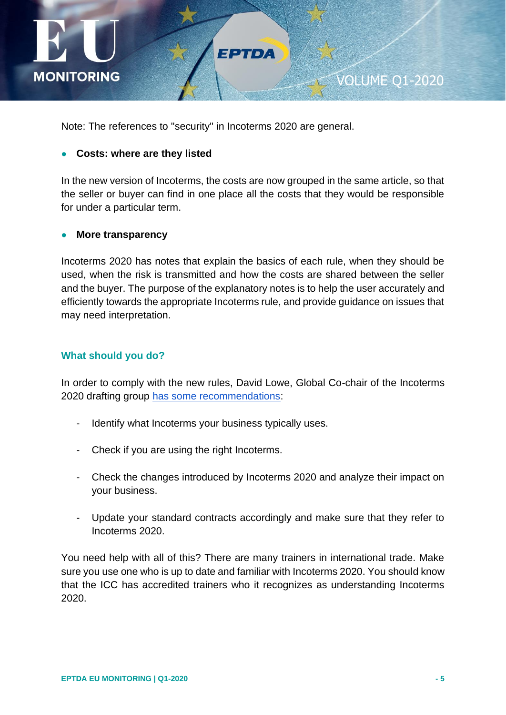

Note: The references to "security" in Incoterms 2020 are general.

#### ● **Costs: where are they listed**

In the new version of Incoterms, the costs are now grouped in the same article, so that the seller or buyer can find in one place all the costs that they would be responsible for under a particular term.

FPTDA

#### ● **More transparency**

Incoterms 2020 has notes that explain the basics of each rule, when they should be used, when the risk is transmitted and how the costs are shared between the seller and the buyer. The purpose of the explanatory notes is to help the user accurately and efficiently towards the appropriate Incoterms rule, and provide guidance on issues that may need interpretation.

### **What should you do?**

In order to comply with the new rules, David Lowe, Global Co-chair of the Incoterms 2020 drafting group [has some recommendations:](http://www.mondaq.com/uk/x/844826/international+trade+investment/ICC+Incoterms+2020+Has+Arrived+Key+Changes+And+How+To+Prepare+For+The+Rules+Coming+Into+Force)

- Identify what Incoterms your business typically uses.
- Check if you are using the right Incoterms.
- Check the changes introduced by Incoterms 2020 and analyze their impact on your business.
- Update your standard contracts accordingly and make sure that they refer to Incoterms 2020.

You need help with all of this? There are many trainers in international trade. Make sure you use one who is up to date and familiar with Incoterms 2020. You should know that the ICC has accredited trainers who it recognizes as understanding Incoterms 2020.